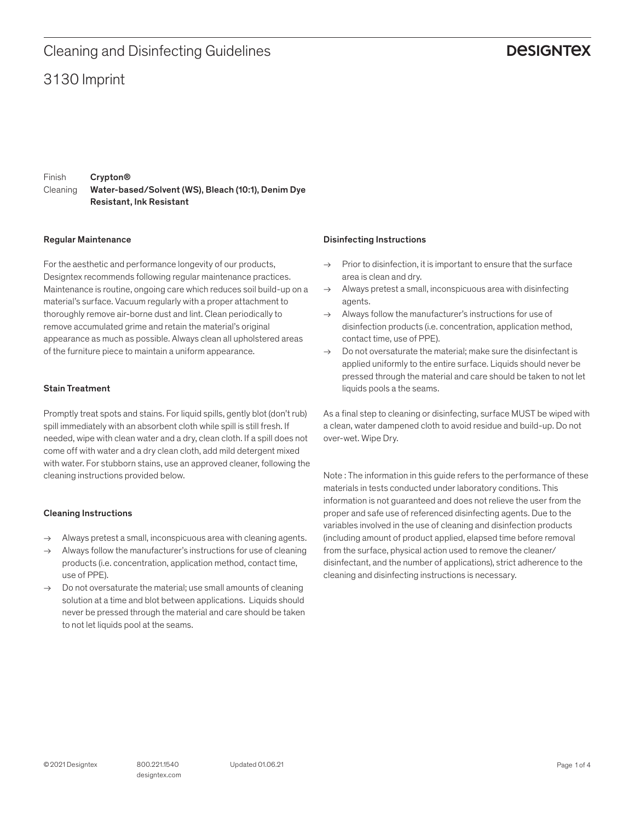## 3130 Imprint Cleaning and Disinfecting Guidelines

### **DESIGNTEX**

Finish Cleaning Crypton® Water-based/Solvent (WS), Bleach (10:1), Denim Dye Resistant, Ink Resistant

#### Regular Maintenance

For the aesthetic and performance longevity of our products, Designtex recommends following regular maintenance practices. Maintenance is routine, ongoing care which reduces soil build-up on a material's surface. Vacuum regularly with a proper attachment to thoroughly remove air-borne dust and lint. Clean periodically to remove accumulated grime and retain the material's original appearance as much as possible. Always clean all upholstered areas of the furniture piece to maintain a uniform appearance.

#### Stain Treatment

Promptly treat spots and stains. For liquid spills, gently blot (don't rub) spill immediately with an absorbent cloth while spill is still fresh. If needed, wipe with clean water and a dry, clean cloth. If a spill does not come off with water and a dry clean cloth, add mild detergent mixed with water. For stubborn stains, use an approved cleaner, following the cleaning instructions provided below.

#### Cleaning Instructions

- $\rightarrow$  Always pretest a small, inconspicuous area with cleaning agents.
- $\rightarrow$  Always follow the manufacturer's instructions for use of cleaning products (i.e. concentration, application method, contact time, use of PPE).
- $\rightarrow$  Do not oversaturate the material; use small amounts of cleaning solution at a time and blot between applications. Liquids should never be pressed through the material and care should be taken to not let liquids pool at the seams.

#### Disinfecting Instructions

- $\rightarrow$  Prior to disinfection, it is important to ensure that the surface area is clean and dry.
- $\rightarrow$  Always pretest a small, inconspicuous area with disinfecting agents.
- $\rightarrow$  Always follow the manufacturer's instructions for use of disinfection products (i.e. concentration, application method, contact time, use of PPE).
- $\rightarrow$  Do not oversaturate the material: make sure the disinfectant is applied uniformly to the entire surface. Liquids should never be pressed through the material and care should be taken to not let liquids pools a the seams.

As a final step to cleaning or disinfecting, surface MUST be wiped with a clean, water dampened cloth to avoid residue and build-up. Do not over-wet. Wipe Dry.

Note : The information in this guide refers to the performance of these materials in tests conducted under laboratory conditions. This information is not guaranteed and does not relieve the user from the proper and safe use of referenced disinfecting agents. Due to the variables involved in the use of cleaning and disinfection products (including amount of product applied, elapsed time before removal from the surface, physical action used to remove the cleaner/ disinfectant, and the number of applications), strict adherence to the cleaning and disinfecting instructions is necessary.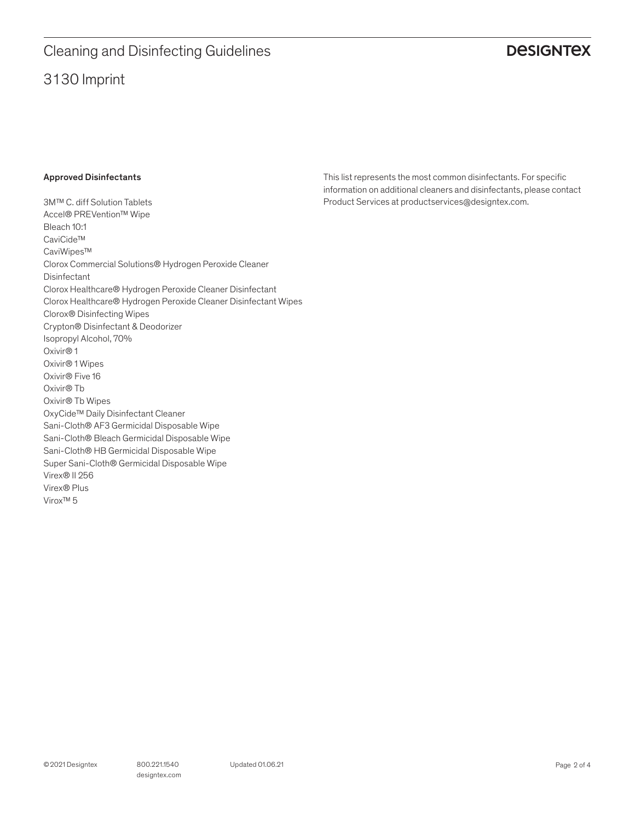# 3130 Imprint Cleaning and Disinfecting Guidelines

## **DESIGNTEX**

### Approved Disinfectants

3M™ C. diff Solution Tablets Accel® PREVention™ Wipe Bleach 10:1 CaviCide™ CaviWipes™ Clorox Commercial Solutions® Hydrogen Peroxide Cleaner Disinfectant Clorox Healthcare® Hydrogen Peroxide Cleaner Disinfectant Clorox Healthcare® Hydrogen Peroxide Cleaner Disinfectant Wipes Clorox® Disinfecting Wipes Crypton® Disinfectant & Deodorizer Isopropyl Alcohol, 70% Oxivir® 1 Oxivir® 1 Wipes Oxivir® Five 16 Oxivir® Tb Oxivir® Tb Wipes OxyCide™ Daily Disinfectant Cleaner Sani-Cloth® AF3 Germicidal Disposable Wipe Sani-Cloth® Bleach Germicidal Disposable Wipe Sani-Cloth® HB Germicidal Disposable Wipe Super Sani-Cloth® Germicidal Disposable Wipe Virex® II 256 Virex® Plus Virox™ 5

This list represents the most common disinfectants. For specific information on additional cleaners and disinfectants, please contact Product Services at productservices@designtex.com.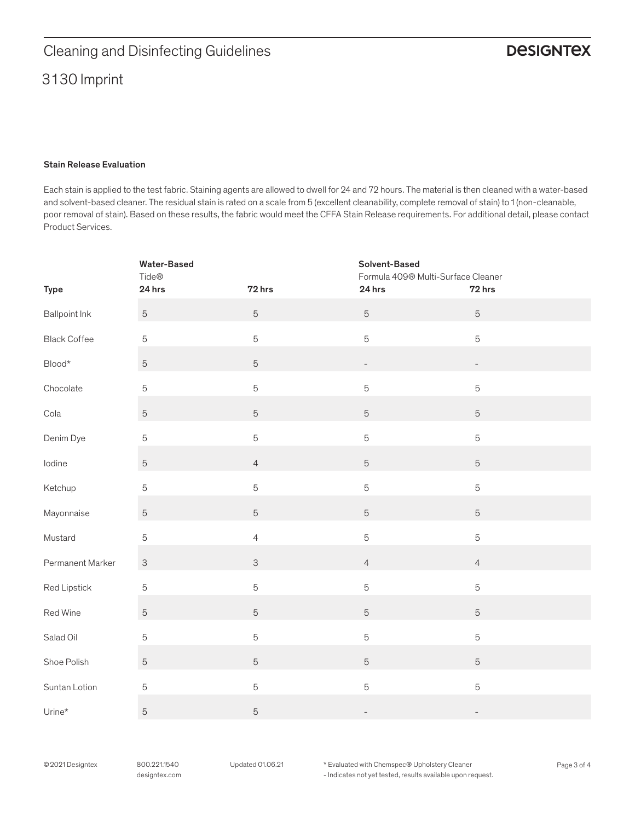# 3130 Imprint Cleaning and Disinfecting Guidelines

### Stain Release Evaluation

Each stain is applied to the test fabric. Staining agents are allowed to dwell for 24 and 72 hours. The material is then cleaned with a water-based and solvent-based cleaner. The residual stain is rated on a scale from 5 (excellent cleanability, complete removal of stain) to 1 (non-cleanable, poor removal of stain). Based on these results, the fabric would meet the CFFA Stain Release requirements. For additional detail, please contact Product Services.

|                          | <b>Water-Based</b><br>Tide® |                | Solvent-Based<br>Formula 409® Multi-Surface Cleaner |                          |
|--------------------------|-----------------------------|----------------|-----------------------------------------------------|--------------------------|
| <b>Type</b>              | 24 hrs                      | 72 hrs         | 24 hrs                                              | 72 hrs                   |
| <b>Ballpoint Ink</b>     | $\mathbf 5$                 | $\sqrt{5}$     | $\mathbf 5$                                         | $\mathbf 5$              |
| <b>Black Coffee</b>      | $\mathbf 5$                 | $\overline{5}$ | 5                                                   | $\mathbf 5$              |
| $\mathsf{Blood}^{\star}$ | $\mathbf 5$                 | $\mathbf 5$    | $\overline{\phantom{0}}$                            |                          |
| Chocolate                | $\mathbf 5$                 | $\mathbf 5$    | 5                                                   | 5                        |
| Cola                     | $\mathbf 5$                 | $\overline{5}$ | 5                                                   | $\overline{5}$           |
| Denim Dye                | $\mathbf 5$                 | 5              | 5                                                   | $\overline{5}$           |
| lodine                   | $\mathbf 5$                 | $\overline{4}$ | 5                                                   | $\overline{5}$           |
| Ketchup                  | $\mathbf 5$                 | 5              | 5                                                   | $\mathbf 5$              |
| Mayonnaise               | $\mathbf 5$                 | $\mathbf 5$    | 5                                                   | $\overline{5}$           |
| Mustard                  | $\mathbf 5$                 | $\overline{4}$ | 5                                                   | $\mathbf 5$              |
| Permanent Marker         | $\ensuremath{\mathsf{3}}$   | $\mathsf 3$    | $\overline{4}$                                      | $\overline{4}$           |
| Red Lipstick             | $\mathbf 5$                 | 5              | 5                                                   | $\mathbf 5$              |
| Red Wine                 | $\mathbf 5$                 | $\overline{5}$ | 5                                                   | $\overline{5}$           |
| Salad Oil                | $\mathbf 5$                 | 5              | 5                                                   | 5                        |
| Shoe Polish              | $\mathbf 5$                 | $\overline{5}$ | 5                                                   | $\overline{5}$           |
| Suntan Lotion            | $\mathbf 5$                 | $\overline{5}$ | 5                                                   | 5                        |
| $Urine*$                 | $\sqrt{5}$                  | 5              |                                                     | $\overline{\phantom{0}}$ |

© 2021 Designtex 800.221.1540 Updated 01.06.21 \* Evaluated with Chemspec® Upholstery Cleaner Page 3 of 4

- Indicates not yet tested, results available upon request.